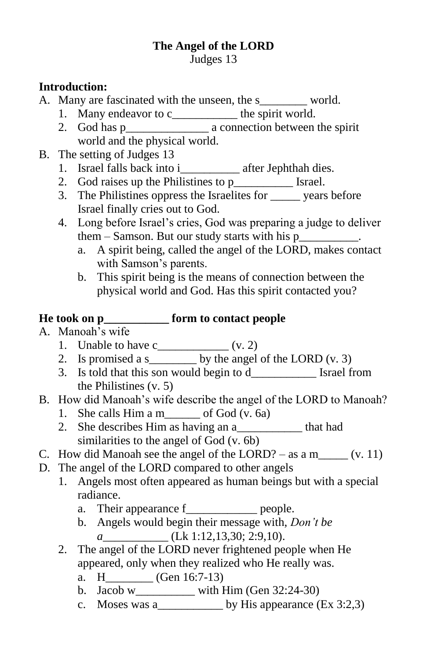# **The Angel of the LORD**

Judges 13

#### **Introduction:**

A. Many are fascinated with the unseen, the s\_\_\_\_\_\_\_\_ world.

- 1. Many endeavor to c\_\_\_\_\_\_\_\_\_\_\_\_ the spirit world.
- 2. God has p\_\_\_\_\_\_\_\_\_\_\_\_\_\_ a connection between the spirit world and the physical world.
- B. The setting of Judges 13
	- 1. Israel falls back into i\_\_\_\_\_\_\_\_\_\_ after Jephthah dies.
	- 2. God raises up the Philistines to p [Strael.]
	- 3. The Philistines oppress the Israelites for \_\_\_\_\_ years before Israel finally cries out to God.
	- 4. Long before Israel's cries, God was preparing a judge to deliver them – Samson. But our study starts with his p\_\_\_\_\_\_\_\_\_\_.
		- a. A spirit being, called the angel of the LORD, makes contact with Samson's parents.
		- b. This spirit being is the means of connection between the physical world and God. Has this spirit contacted you?

### **He took on p\_\_\_\_\_\_\_\_\_\_\_ form to contact people**

- A. Manoah's wife
	- 1. Unable to have  $c_{\text{max}}(v. 2)$
	- 2. Is promised a s\_\_\_\_\_\_\_\_ by the angel of the LORD (v. 3)
	- 3. Is told that this son would begin to d\_\_\_\_\_\_\_\_\_\_\_ Israel from the Philistines (v. 5)
- B. How did Manoah's wife describe the angel of the LORD to Manoah?
	- 1. She calls  $\lim a \text{ m}$  of God (v. 6a)
	- 2. She describes Him as having an a\_\_\_\_\_\_\_\_\_\_\_ that had similarities to the angel of God (v. 6b)
- C. How did Manoah see the angel of the LORD? as a m\_\_\_\_\_  $(v. 11)$
- D. The angel of the LORD compared to other angels
	- 1. Angels most often appeared as human beings but with a special radiance.
		- a. Their appearance f\_\_\_\_\_\_\_\_\_\_\_\_\_\_ people.
		- b. Angels would begin their message with, *Don't be a* (Lk 1:12,13,30; 2:9,10).
	- 2. The angel of the LORD never frightened people when He appeared, only when they realized who He really was.
		- a. H\_\_\_\_\_\_\_\_ (Gen 16:7-13)
		- b. Jacob w\_\_\_\_\_\_\_\_\_\_ with Him (Gen 32:24-30)
		- c. Moses was a  $\qquad \qquad$  by His appearance (Ex 3:2,3)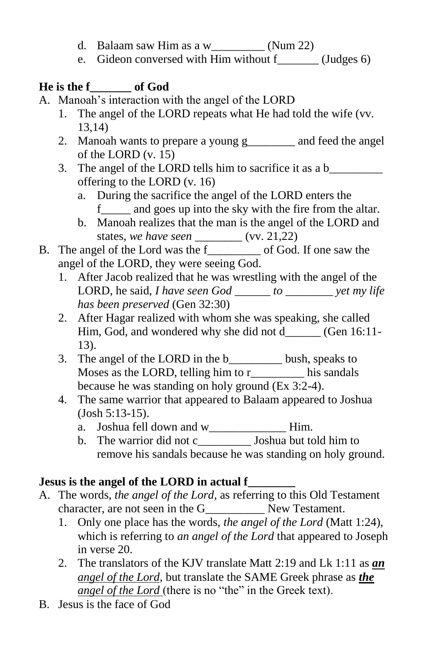- d. Balaam saw Him as a w\_\_\_\_\_\_\_\_\_ (Num 22)
- e. Gideon conversed with Him without f (Judges 6)

# **He is the f\_\_\_\_\_\_\_ of God**

- A. Manoah's interaction with the angel of the LORD
	- 1. The angel of the LORD repeats what He had told the wife (vv. 13,14)
	- 2. Manoah wants to prepare a young g and feed the angel of the LORD (v. 15)
	- 3. The angel of the LORD tells him to sacrifice it as a b offering to the LORD (v. 16)
		- a. During the sacrifice the angel of the LORD enters the f\_\_\_\_\_ and goes up into the sky with the fire from the altar.
		- b. Manoah realizes that the man is the angel of the LORD and states, *we have seen \_\_\_\_\_\_\_\_* (vv. 21,22)
- B. The angel of the Lord was the f\_\_\_\_\_\_\_\_\_ of God. If one saw the angel of the LORD, they were seeing God.
	- 1. After Jacob realized that he was wrestling with the angel of the LORD, he said, *I have seen God \_\_\_\_\_\_ to \_\_\_\_\_\_\_\_ yet my life has been preserved* (Gen 32:30)
	- 2. After Hagar realized with whom she was speaking, she called Him, God, and wondered why she did not d\_\_\_\_\_\_ (Gen 16:11- 13).
	- 3. The angel of the LORD in the b bush, speaks to Moses as the LORD, telling him to r\_\_\_\_\_\_\_\_\_ his sandals because he was standing on holy ground (Ex 3:2-4).
	- 4. The same warrior that appeared to Balaam appeared to Joshua (Josh 5:13-15).
		- a. Joshua fell down and w\_\_\_\_\_\_\_\_\_\_\_\_\_\_\_Him.
		- b. The warrior did not c\_\_\_\_\_\_\_\_\_ Joshua but told him to remove his sandals because he was standing on holy ground.

# **Jesus is the angel of the LORD in actual f\_\_\_\_\_\_\_\_**

- A. The words, *the angel of the Lord,* as referring to this Old Testament character, are not seen in the G\_\_\_\_\_\_\_\_\_\_ New Testament.
	- 1. Only one place has the words, *the angel of the Lord* (Matt 1:24), which is referring to *an angel of the Lord* that appeared to Joseph in verse 20.
	- 2. The translators of the KJV translate Matt 2:19 and Lk 1:11 as *an angel of the Lord,* but translate the SAME Greek phrase as *the angel of the Lord* (there is no "the" in the Greek text).
- B. Jesus is the face of God